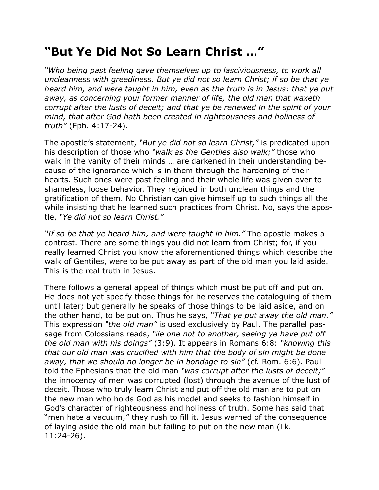## **"But Ye Did Not So Learn Christ …"**

*"Who being past feeling gave themselves up to lasciviousness, to work all uncleanness with greediness. But ye did not so learn Christ; if so be that ye heard him, and were taught in him, even as the truth is in Jesus: that ye put away, as concerning your former manner of life, the old man that waxeth corrupt after the lusts of deceit; and that ye be renewed in the spirit of your mind, that after God hath been created in righteousness and holiness of truth"* (Eph. 4:17-24).

The apostle's statement, *"But ye did not so learn Christ,"* is predicated upon his description of those who *"walk as the Gentiles also walk;"* those who walk in the vanity of their minds … are darkened in their understanding because of the ignorance which is in them through the hardening of their hearts. Such ones were past feeling and their whole life was given over to shameless, loose behavior. They rejoiced in both unclean things and the gratification of them. No Christian can give himself up to such things all the while insisting that he learned such practices from Christ. No, says the apostle, *"Ye did not so learn Christ."*

*"If so be that ye heard him, and were taught in him."* The apostle makes a contrast. There are some things you did not learn from Christ; for, if you really learned Christ you know the aforementioned things which describe the walk of Gentiles, were to be put away as part of the old man you laid aside. This is the real truth in Jesus.

There follows a general appeal of things which must be put off and put on. He does not yet specify those things for he reserves the cataloguing of them until later; but generally he speaks of those things to be laid aside, and on the other hand, to be put on. Thus he says, *"That ye put away the old man."* This expression *"the old man"* is used exclusively by Paul. The parallel passage from Colossians reads, *"lie one not to another, seeing ye have put off the old man with his doings"* (3:9). It appears in Romans 6:8: *"knowing this that our old man was crucified with him that the body of sin might be done away, that we should no longer be in bondage to sin"* (cf. Rom. 6:6). Paul told the Ephesians that the old man *"was corrupt after the lusts of deceit;"* the innocency of men was corrupted (lost) through the avenue of the lust of deceit. Those who truly learn Christ and put off the old man are to put on the new man who holds God as his model and seeks to fashion himself in God's character of righteousness and holiness of truth. Some has said that "men hate a vacuum;" they rush to fill it. Jesus warned of the consequence of laying aside the old man but failing to put on the new man (Lk. 11:24-26).